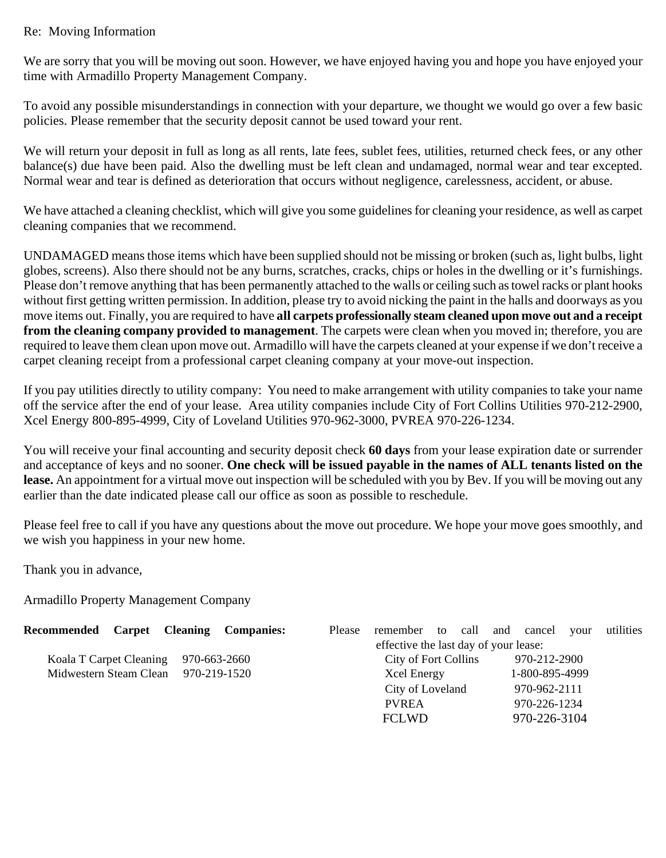## Re: Moving Information

We are sorry that you will be moving out soon. However, we have enjoyed having you and hope you have enjoyed your time with Armadillo Property Management Company.

To avoid any possible misunderstandings in connection with your departure, we thought we would go over a few basic policies. Please remember that the security deposit cannot be used toward your rent.

We will return your deposit in full as long as all rents, late fees, sublet fees, utilities, returned check fees, or any other balance(s) due have been paid. Also the dwelling must be left clean and undamaged, normal wear and tear excepted. Normal wear and tear is defined as deterioration that occurs without negligence, carelessness, accident, or abuse.

We have attached a cleaning checklist, which will give you some guidelines for cleaning your residence, as well as carpet cleaning companies that we recommend.

UNDAMAGED means those items which have been supplied should not be missing or broken (such as, light bulbs, light globes, screens). Also there should not be any burns, scratches, cracks, chips or holes in the dwelling or it's furnishings. Please don't remove anything that has been permanently attached to the walls or ceiling such as towel racks or plant hooks without first getting written permission. In addition, please try to avoid nicking the paint in the halls and doorways as you move items out. Finally, you are required to have **all carpets professionally steam cleaned upon move out and a receipt from the cleaning company provided to management**. The carpets were clean when you moved in; therefore, you are required to leave them clean upon move out. Armadillo will have the carpets cleaned at your expense if we don't receive a carpet cleaning receipt from a professional carpet cleaning company at your move-out inspection.

If you pay utilities directly to utility company: You need to make arrangement with utility companies to take your name off the service after the end of your lease. Area utility companies include City of Fort Collins Utilities 970-212-2900, Xcel Energy 800-895-4999, City of Loveland Utilities 970-962-3000, PVREA 970-226-1234.

You will receive your final accounting and security deposit check **60 days** from your lease expiration date or surrender and acceptance of keys and no sooner. **One check will be issued payable in the names of ALL tenants listed on the lease.** An appointment for a virtual move out inspection will be scheduled with you by Bev. If you will be moving out any earlier than the date indicated please call our office as soon as possible to reschedule.

Please feel free to call if you have any questions about the move out procedure. We hope your move goes smoothly, and we wish you happiness in your new home.

Thank you in advance,

Armadillo Property Management Company

| Recommended Carpet Cleaning Companies:  |                                       |  |  | Please | remember to call and cancel |  |  |  |                | vour | utilities |
|-----------------------------------------|---------------------------------------|--|--|--------|-----------------------------|--|--|--|----------------|------|-----------|
|                                         | effective the last day of your lease: |  |  |        |                             |  |  |  |                |      |           |
| Koala T Carpet Cleaning<br>970-663-2660 |                                       |  |  |        | City of Fort Collins        |  |  |  | 970-212-2900   |      |           |
| Midwestern Steam Clean 970-219-1520     |                                       |  |  |        | Xcel Energy                 |  |  |  | 1-800-895-4999 |      |           |
|                                         |                                       |  |  |        | City of Loveland            |  |  |  | 970-962-2111   |      |           |
|                                         |                                       |  |  |        | <b>PVREA</b>                |  |  |  | 970-226-1234   |      |           |
|                                         |                                       |  |  |        | <b>FCLWD</b>                |  |  |  | 970-226-3104   |      |           |